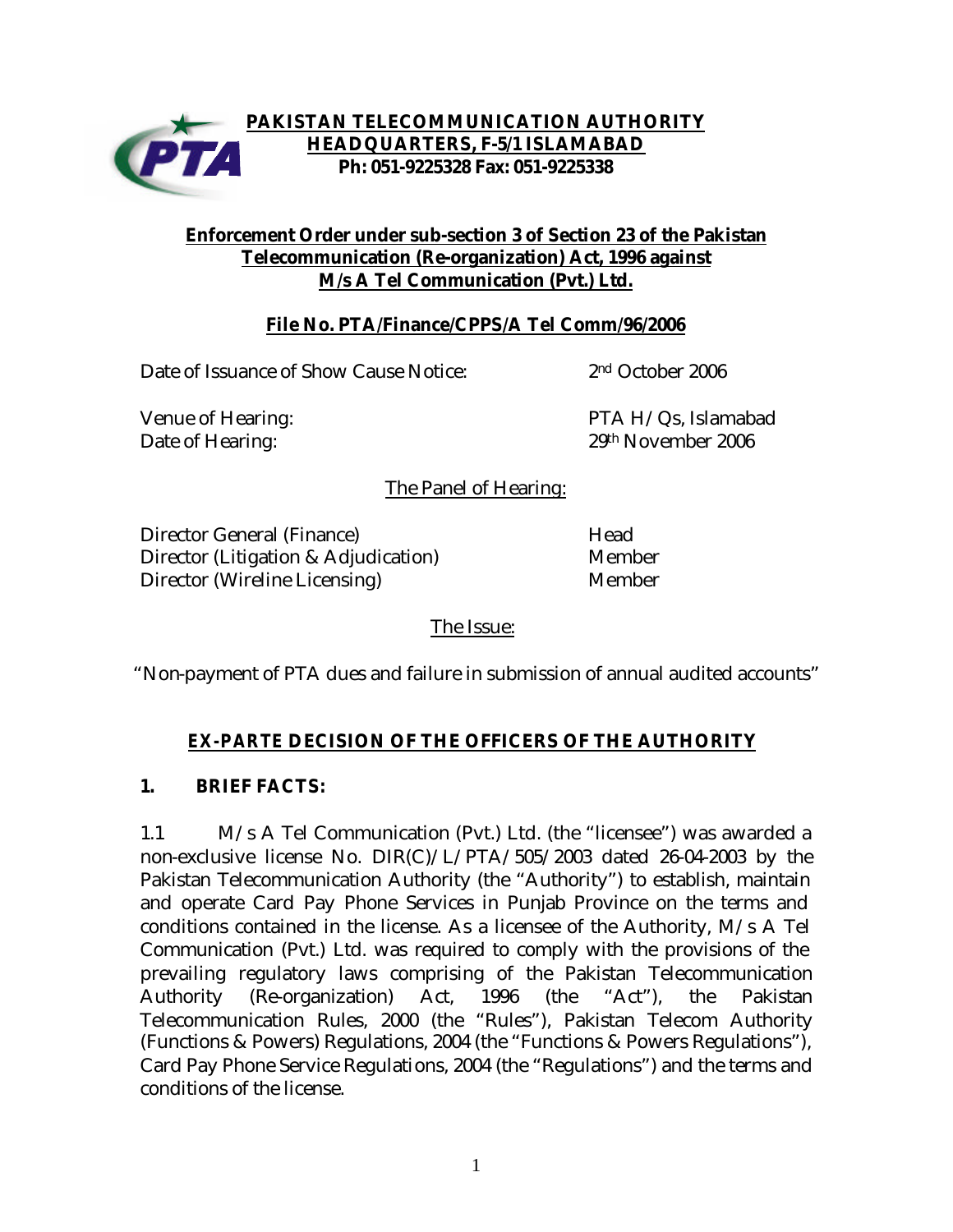

### **PAKISTAN TELECOMMUNICATION AUTHORITY HEADQUARTERS, F-5/1 ISLAMABAD Ph: 051-9225328 Fax: 051-9225338**

#### **Enforcement Order under sub-section 3 of Section 23 of the Pakistan Telecommunication (Re-organization) Act, 1996 against M/s A Tel Communication (Pvt.) Ltd.**

### **File No. PTA/Finance/CPPS/A Tel Comm/96/2006**

Date of Issuance of Show Cause Notice: 2nd October 2006

Venue of Hearing: The PTA H/Qs, Islamabad Date of Hearing: 29th November 2006

The Panel of Hearing:

Director General (Finance) and the Head Director (Litigation & Adjudication) Member Director (Wireline Licensing) Member

The Issue:

"Non-payment of PTA dues and failure in submission of annual audited accounts"

## *EX-PARTE* **DECISION OF THE OFFICERS OF THE AUTHORITY**

#### **1. BRIEF FACTS:**

1.1 M/s A Tel Communication (Pvt.) Ltd. (the "licensee") was awarded a non-exclusive license No. DIR(C)/L/PTA/505/2003 dated 26-04-2003 by the Pakistan Telecommunication Authority (the "Authority") to establish, maintain and operate Card Pay Phone Services in Punjab Province on the terms and conditions contained in the license. As a licensee of the Authority, M/s A Tel Communication (Pvt.) Ltd. was required to comply with the provisions of the prevailing regulatory laws comprising of the Pakistan Telecommunication Authority (Re-organization) Act, 1996 (the "Act"), the Pakistan Telecommunication Rules, 2000 (the "Rules"), Pakistan Telecom Authority (Functions & Powers) Regulations, 2004 (the "Functions & Powers Regulations"), Card Pay Phone Service Regulations, 2004 (the "Regulations") and the terms and conditions of the license.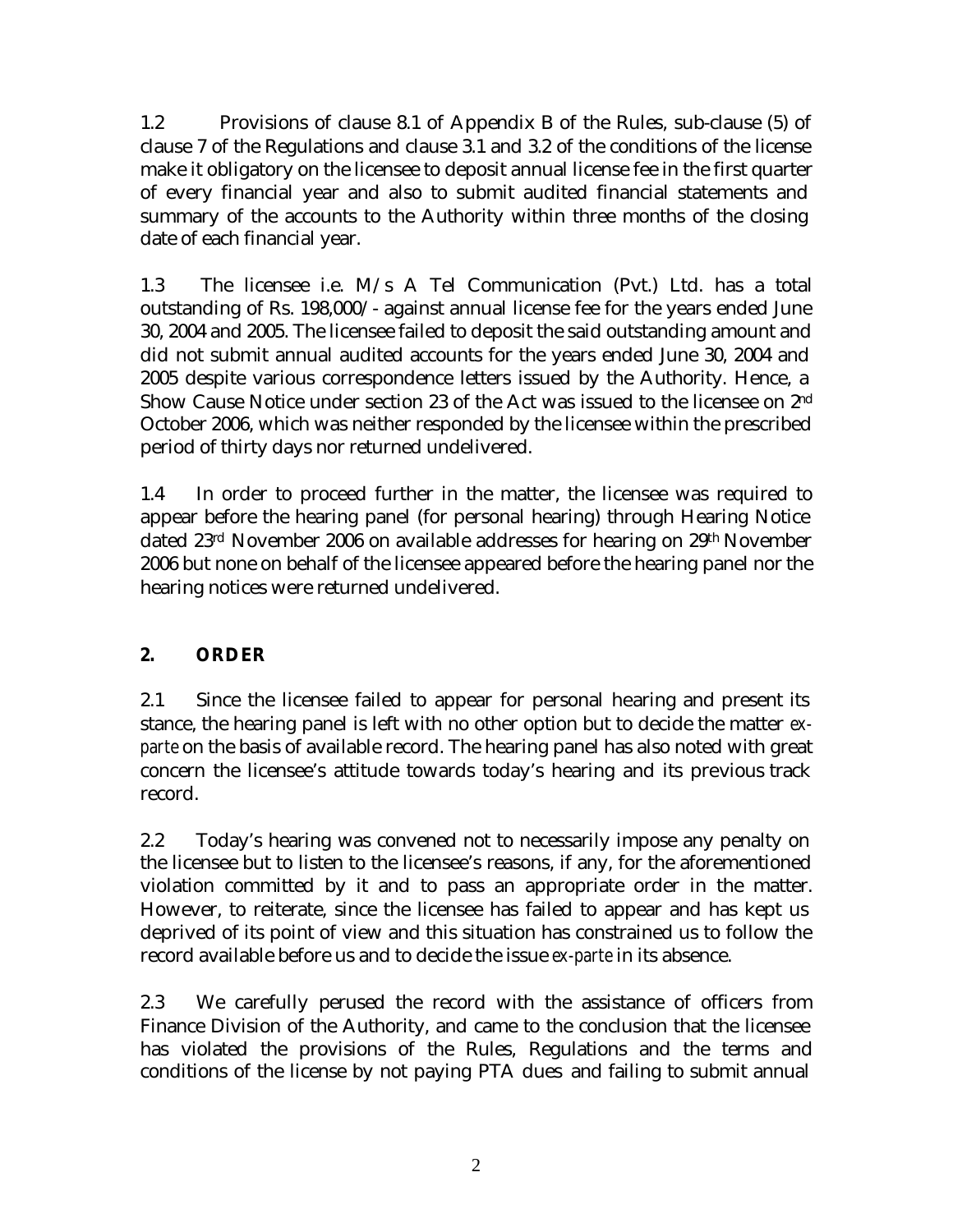1.2 Provisions of clause 8.1 of Appendix B of the Rules, sub-clause (5) of clause 7 of the Regulations and clause 3.1 and 3.2 of the conditions of the license make it obligatory on the licensee to deposit annual license fee in the first quarter of every financial year and also to submit audited financial statements and summary of the accounts to the Authority within three months of the closing date of each financial year.

1.3 The licensee i.e. M/s A Tel Communication (Pvt.) Ltd. has a total outstanding of Rs. 198,000/- against annual license fee for the years ended June 30, 2004 and 2005. The licensee failed to deposit the said outstanding amount and did not submit annual audited accounts for the years ended June 30, 2004 and 2005 despite various correspondence letters issued by the Authority. Hence, a Show Cause Notice under section 23 of the Act was issued to the licensee on 2nd October 2006, which was neither responded by the licensee within the prescribed period of thirty days nor returned undelivered.

1.4 In order to proceed further in the matter, the licensee was required to appear before the hearing panel (for personal hearing) through Hearing Notice dated 23rd November 2006 on available addresses for hearing on 29th November 2006 but none on behalf of the licensee appeared before the hearing panel nor the hearing notices were returned undelivered.

# **2. ORDER**

2.1 Since the licensee failed to appear for personal hearing and present its stance, the hearing panel is left with no other option but to decide the matter *exparte* on the basis of available record. The hearing panel has also noted with great concern the licensee's attitude towards today's hearing and its previous track record.

2.2 Today's hearing was convened not to necessarily impose any penalty on the licensee but to listen to the licensee's reasons, if any, for the aforementioned violation committed by it and to pass an appropriate order in the matter. However, to reiterate, since the licensee has failed to appear and has kept us deprived of its point of view and this situation has constrained us to follow the record available before us and to decide the issue *ex-parte* in its absence.

2.3 We carefully perused the record with the assistance of officers from Finance Division of the Authority, and came to the conclusion that the licensee has violated the provisions of the Rules, Regulations and the terms and conditions of the license by not paying PTA dues and failing to submit annual